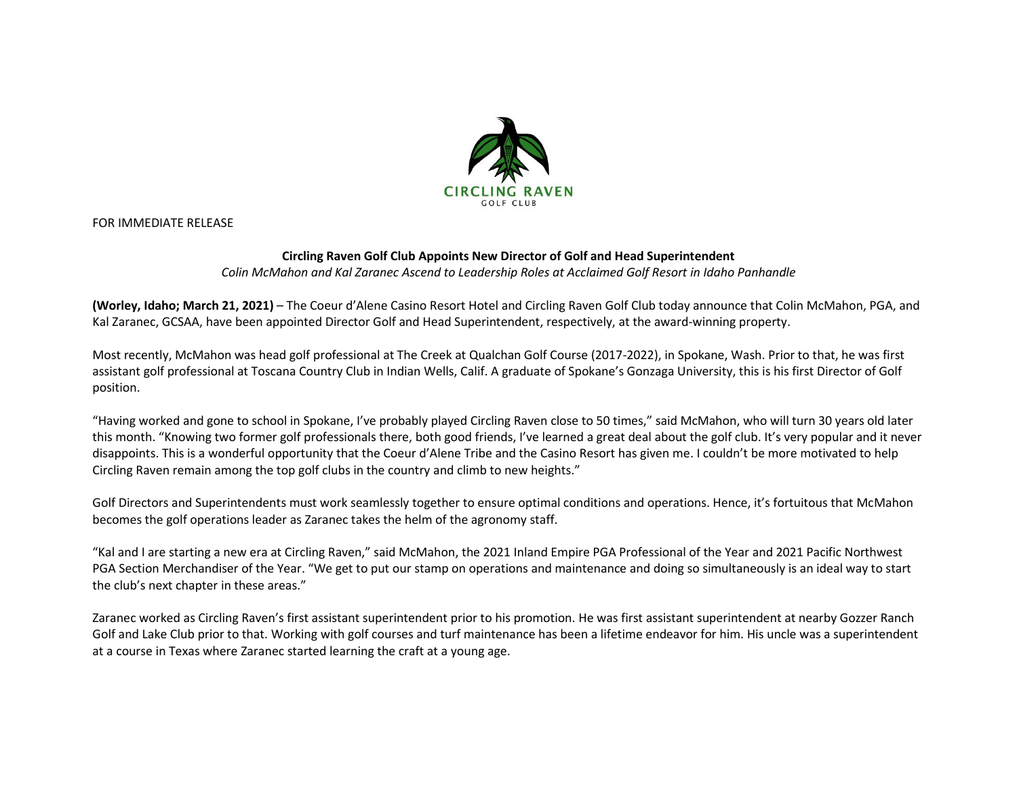

FOR IMMEDIATE RELEASE

## **Circling Raven Golf Club Appoints New Director of Golf and Head Superintendent**

*Colin McMahon and Kal Zaranec Ascend to Leadership Roles at Acclaimed Golf Resort in Idaho Panhandle*

**(Worley, Idaho; March 21, 2021)** – The Coeur d'Alene Casino Resort Hotel and Circling Raven Golf Club today announce that Colin McMahon, PGA, and Kal Zaranec, GCSAA, have been appointed Director Golf and Head Superintendent, respectively, at the award-winning property.

Most recently, McMahon was head golf professional at The Creek at Qualchan Golf Course (2017-2022), in Spokane, Wash. Prior to that, he was first assistant golf professional at Toscana Country Club in Indian Wells, Calif. A graduate of Spokane's Gonzaga University, this is his first Director of Golf position.

"Having worked and gone to school in Spokane, I've probably played Circling Raven close to 50 times," said McMahon, who will turn 30 years old later this month. "Knowing two former golf professionals there, both good friends, I've learned a great deal about the golf club. It's very popular and it never disappoints. This is a wonderful opportunity that the Coeur d'Alene Tribe and the Casino Resort has given me. I couldn't be more motivated to help Circling Raven remain among the top golf clubs in the country and climb to new heights."

Golf Directors and Superintendents must work seamlessly together to ensure optimal conditions and operations. Hence, it's fortuitous that McMahon becomes the golf operations leader as Zaranec takes the helm of the agronomy staff.

"Kal and I are starting a new era at Circling Raven," said McMahon, the 2021 Inland Empire PGA Professional of the Year and 2021 Pacific Northwest PGA Section Merchandiser of the Year. "We get to put our stamp on operations and maintenance and doing so simultaneously is an ideal way to start the club's next chapter in these areas."

Zaranec worked as Circling Raven's first assistant superintendent prior to his promotion. He was first assistant superintendent at nearby Gozzer Ranch Golf and Lake Club prior to that. Working with golf courses and turf maintenance has been a lifetime endeavor for him. His uncle was a superintendent at a course in Texas where Zaranec started learning the craft at a young age.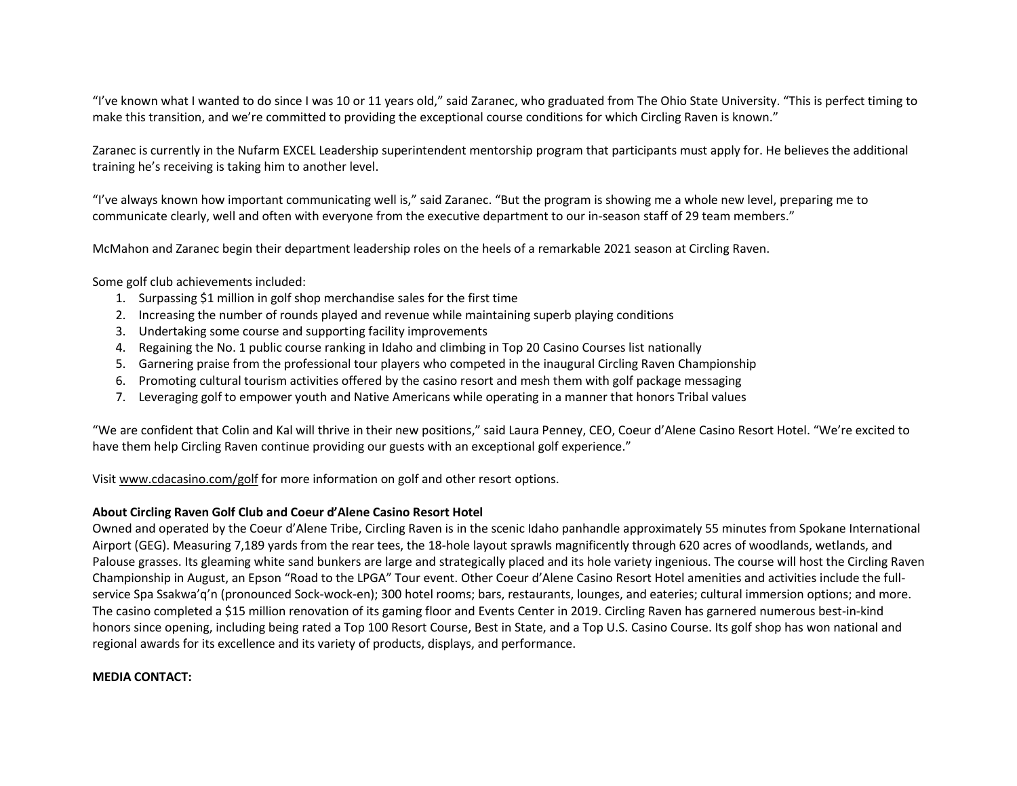"I've known what I wanted to do since I was 10 or 11 years old," said Zaranec, who graduated from The Ohio State University. "This is perfect timing to make this transition, and we're committed to providing the exceptional course conditions for which Circling Raven is known."

Zaranec is currently in the Nufarm EXCEL Leadership superintendent mentorship program that participants must apply for. He believes the additional training he's receiving is taking him to another level.

"I've always known how important communicating well is," said Zaranec. "But the program is showing me a whole new level, preparing me to communicate clearly, well and often with everyone from the executive department to our in-season staff of 29 team members."

McMahon and Zaranec begin their department leadership roles on the heels of a remarkable 2021 season at Circling Raven.

Some golf club achievements included:

- 1. Surpassing \$1 million in golf shop merchandise sales for the first time
- 2. Increasing the number of rounds played and revenue while maintaining superb playing conditions
- 3. Undertaking some course and supporting facility improvements
- 4. Regaining the No. 1 public course ranking in Idaho and climbing in Top 20 Casino Courses list nationally
- 5. Garnering praise from the professional tour players who competed in the inaugural Circling Raven Championship
- 6. Promoting cultural tourism activities offered by the casino resort and mesh them with golf package messaging
- 7. Leveraging golf to empower youth and Native Americans while operating in a manner that honors Tribal values

"We are confident that Colin and Kal will thrive in their new positions," said Laura Penney, CEO, Coeur d'Alene Casino Resort Hotel. "We're excited to have them help Circling Raven continue providing our guests with an exceptional golf experience."

Visit [www.cdacasino.com/](http://www.cdacasino.com/)golf for more information on golf and other resort options.

## **About Circling Raven Golf Club and Coeur d'Alene Casino Resort Hotel**

Owned and operated by the Coeur d'Alene Tribe, Circling Raven is in the scenic Idaho panhandle approximately 55 minutes from Spokane International Airport (GEG). Measuring 7,189 yards from the rear tees, the 18-hole layout sprawls magnificently through 620 acres of woodlands, wetlands, and Palouse grasses. Its gleaming white sand bunkers are large and strategically placed and its hole variety ingenious. The course will host the Circling Raven Championship in August, an Epson "Road to the LPGA" Tour event. Other Coeur d'Alene Casino Resort Hotel amenities and activities include the fullservice Spa Ssakwa'q'n (pronounced Sock-wock-en); 300 hotel rooms; bars, restaurants, lounges, and eateries; cultural immersion options; and more. The casino completed a \$15 million renovation of its gaming floor and Events Center in 2019. Circling Raven has garnered numerous best-in-kind honors since opening, including being rated a Top 100 Resort Course, Best in State, and a Top U.S. Casino Course. Its golf shop has won national and regional awards for its excellence and its variety of products, displays, and performance.

## **MEDIA CONTACT:**